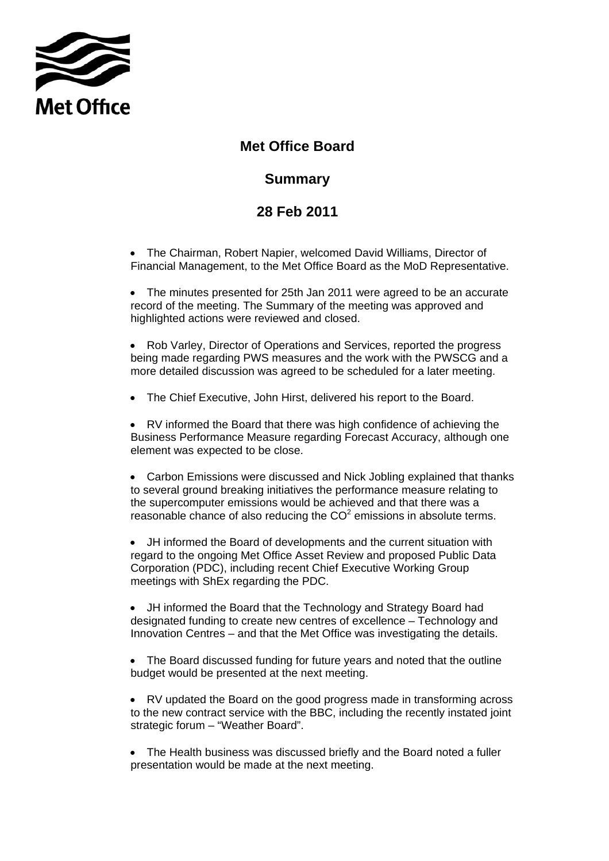

## **Met Office Board**

## **Summary**

## **Summary 28 Feb 2011**

• The Chairman, Robert Napier, welcomed David Williams, Director of Financial Management, to the Met Office Board as the MoD Representative.

• The minutes presented for 25th Jan 2011 were agreed to be an accurate record of the meeting. The Summary of the meeting was approved and highlighted actions were reviewed and closed.

• Rob Varley, Director of Operations and Services, reported the progress being made regarding PWS measures and the work with the PWSCG and a more detailed discussion was agreed to be scheduled for a later meeting.

• The Chief Executive, John Hirst, delivered his report to the Board.

• RV informed the Board that there was high confidence of achieving the Business Performance Measure regarding Forecast Accuracy, although one element was expected to be close.

• Carbon Emissions were discussed and Nick Jobling explained that thanks to several ground breaking initiatives the performance measure relating to the supercomputer emissions would be achieved and that there was a reasonable chance of also reducing the  $CO<sup>2</sup>$  emissions in absolute terms.

• JH informed the Board of developments and the current situation with regard to the ongoing Met Office Asset Review and proposed Public Data Corporation (PDC), including recent Chief Executive Working Group meetings with ShEx regarding the PDC.

• JH informed the Board that the Technology and Strategy Board had designated funding to create new centres of excellence – Technology and Innovation Centres – and that the Met Office was investigating the details.

• The Board discussed funding for future years and noted that the outline budget would be presented at the next meeting.

• RV updated the Board on the good progress made in transforming across to the new contract service with the BBC, including the recently instated joint strategic forum – "Weather Board".

 presentation would be made at the next meeting. • The Health business was discussed briefly and the Board noted a fuller